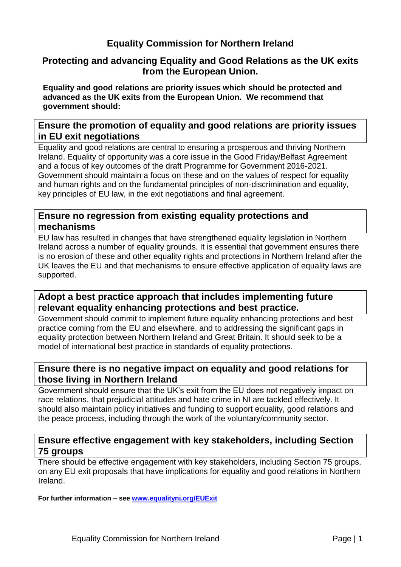### **Equality Commission for Northern Ireland**

#### **Protecting and advancing Equality and Good Relations as the UK exits from the European Union.**

**Equality and good relations are priority issues which should be protected and advanced as the UK exits from the European Union. We recommend that government should:**

#### **Ensure the promotion of equality and good relations are priority issues in EU exit negotiations**

Equality and good relations are central to ensuring a prosperous and thriving Northern Ireland. Equality of opportunity was a core issue in the Good Friday/Belfast Agreement and a focus of key outcomes of the draft Programme for Government 2016-2021. Government should maintain a focus on these and on the values of respect for equality and human rights and on the fundamental principles of non-discrimination and equality, key principles of EU law, in the exit negotiations and final agreement.

#### **Ensure no regression from existing equality protections and mechanisms**

EU law has resulted in changes that have strengthened equality legislation in Northern Ireland across a number of equality grounds. It is essential that government ensures there is no erosion of these and other equality rights and protections in Northern Ireland after the UK leaves the EU and that mechanisms to ensure effective application of equality laws are supported.

#### **Adopt a best practice approach that includes implementing future relevant equality enhancing protections and best practice.**

Government should commit to implement future equality enhancing protections and best practice coming from the EU and elsewhere, and to addressing the significant gaps in equality protection between Northern Ireland and Great Britain. It should seek to be a model of international best practice in standards of equality protections.

#### **Ensure there is no negative impact on equality and good relations for those living in Northern Ireland**

Government should ensure that the UK's exit from the EU does not negatively impact on race relations, that prejudicial attitudes and hate crime in NI are tackled effectively. It should also maintain policy initiatives and funding to support equality, good relations and the peace process, including through the work of the voluntary/community sector.

#### **Ensure effective engagement with key stakeholders, including Section 75 groups**

There should be effective engagement with key stakeholders, including Section 75 groups, on any EU exit proposals that have implications for equality and good relations in Northern Ireland.

**For further information – see [www.equalityni.org/EUExit](http://www.equalityni.org/EUExit)**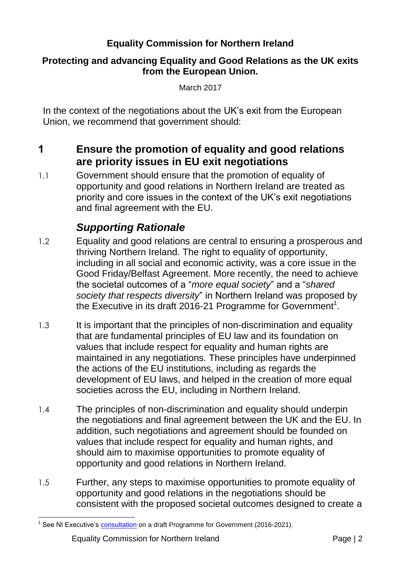### **Equality Commission for Northern Ireland**

#### **Protecting and advancing Equality and Good Relations as the UK exits from the European Union.**

March 2017

In the context of the negotiations about the UK's exit from the European Union, we recommend that government should:

- **1 Ensure the promotion of equality and good relations are priority issues in EU exit negotiations**
- 1.1 Government should ensure that the promotion of equality of opportunity and good relations in Northern Ireland are treated as priority and core issues in the context of the UK's exit negotiations and final agreement with the EU.

- 1.2 Equality and good relations are central to ensuring a prosperous and thriving Northern Ireland. The right to equality of opportunity, including in all social and economic activity, was a core issue in the Good Friday/Belfast Agreement. More recently, the need to achieve the societal outcomes of a "*more equal society*" and a "*shared society that respects diversity*" in Northern Ireland was proposed by the Executive in its draft 2016-21 Programme for Government<sup>1</sup>.
- 1.3 It is important that the principles of non-discrimination and equality that are fundamental principles of EU law and its foundation on values that include respect for equality and human rights are maintained in any negotiations*.* These principles have underpinned the actions of the EU institutions, including as regards the development of EU laws, and helped in the creation of more equal societies across the EU, including in Northern Ireland.
- 1.4 The principles of non-discrimination and equality should underpin the negotiations and final agreement between the UK and the EU. In addition, such negotiations and agreement should be founded on values that include respect for equality and human rights, and should aim to maximise opportunities to promote equality of opportunity and good relations in Northern Ireland.
- 1.5 Further, any steps to maximise opportunities to promote equality of opportunity and good relations in the negotiations should be consistent with the proposed societal outcomes designed to create a

 $\overline{a}$ <sup>1</sup> See NI Executive's [consultation](https://www.northernireland.gov.uk/sites/default/files/consultations/newnigov/pfg-consulation-document.PDF) on a draft Programme for Government (2016-2021).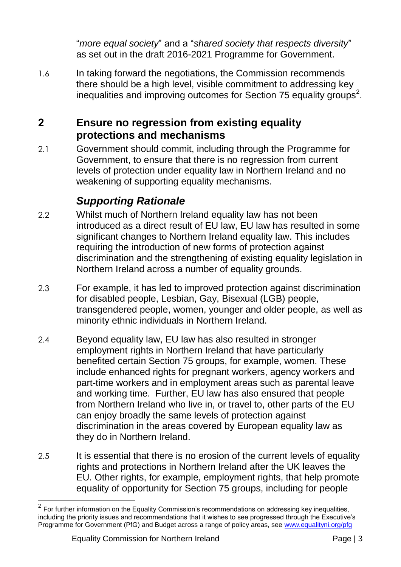"*more equal society*" and a "*shared society that respects diversity*" as set out in the draft 2016-2021 Programme for Government.

1.6 In taking forward the negotiations, the Commission recommends there should be a high level, visible commitment to addressing key inequalities and improving outcomes for Section 75 equality groups<sup>2</sup>.

### **2 Ensure no regression from existing equality protections and mechanisms**

2.1 Government should commit, including through the Programme for Government, to ensure that there is no regression from current levels of protection under equality law in Northern Ireland and no weakening of supporting equality mechanisms.

- 2.2 Whilst much of Northern Ireland equality law has not been introduced as a direct result of EU law, EU law has resulted in some significant changes to Northern Ireland equality law. This includes requiring the introduction of new forms of protection against discrimination and the strengthening of existing equality legislation in Northern Ireland across a number of equality grounds.
- 2.3 For example, it has led to improved protection against discrimination for disabled people, Lesbian, Gay, Bisexual (LGB) people, transgendered people, women, younger and older people, as well as minority ethnic individuals in Northern Ireland.
- 2.4 Beyond equality law, EU law has also resulted in stronger employment rights in Northern Ireland that have particularly benefited certain Section 75 groups, for example, women. These include enhanced rights for pregnant workers, agency workers and part-time workers and in employment areas such as parental leave and working time. Further, EU law has also ensured that people from Northern Ireland who live in, or travel to, other parts of the EU can enjoy broadly the same levels of protection against discrimination in the areas covered by European equality law as they do in Northern Ireland.
- 2.5 It is essential that there is no erosion of the current levels of equality rights and protections in Northern Ireland after the UK leaves the EU. Other rights, for example, employment rights, that help promote equality of opportunity for Section 75 groups, including for people

\_\_\_\_\_\_\_\_\_\_\_\_\_\_\_\_\_\_\_\_\_\_\_\_\_\_\_\_\_\_\_\_\_\_\_<br><sup>2</sup> For further information on the Equality Commission's recommendations on addressing key inequalities, including the priority issues and recommendations that it wishes to see progressed through the Executive's Programme for Government (PfG) and Budget across a range of policy areas, see [www.equalityni.org/pfg](http://www.equalityni.org/pfg)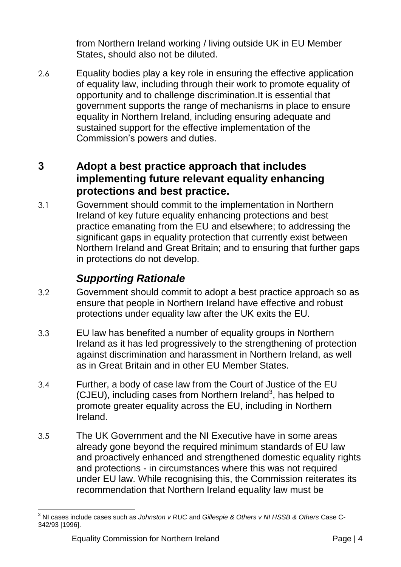from Northern Ireland working / living outside UK in EU Member States, should also not be diluted.

2.6 Equality bodies play a key role in ensuring the effective application of equality law, including through their work to promote equality of opportunity and to challenge discrimination.It is essential that government supports the range of mechanisms in place to ensure equality in Northern Ireland, including ensuring adequate and sustained support for the effective implementation of the Commission's powers and duties.

### **3 Adopt a best practice approach that includes implementing future relevant equality enhancing protections and best practice.**

3.1 Government should commit to the implementation in Northern Ireland of key future equality enhancing protections and best practice emanating from the EU and elsewhere; to addressing the significant gaps in equality protection that currently exist between Northern Ireland and Great Britain; and to ensuring that further gaps in protections do not develop.

- 3.2 Government should commit to adopt a best practice approach so as ensure that people in Northern Ireland have effective and robust protections under equality law after the UK exits the EU.
- 3.3 EU law has benefited a number of equality groups in Northern Ireland as it has led progressively to the strengthening of protection against discrimination and harassment in Northern Ireland, as well as in Great Britain and in other EU Member States.
- 3.4 Further, a body of case law from the Court of Justice of the EU (CJEU), including cases from Northern Ireland<sup>3</sup>, has helped to promote greater equality across the EU, including in Northern Ireland.
- 3.5 The UK Government and the NI Executive have in some areas already gone beyond the required minimum standards of EU law and proactively enhanced and strengthened domestic equality rights and protections - in circumstances where this was not required under EU law. While recognising this, the Commission reiterates its recommendation that Northern Ireland equality law must be

<sup>1</sup> <sup>3</sup> NI cases include cases such as *Johnston v RUC* and *Gillespie & Others v NI HSSB & Others* Case C-342/93 [1996].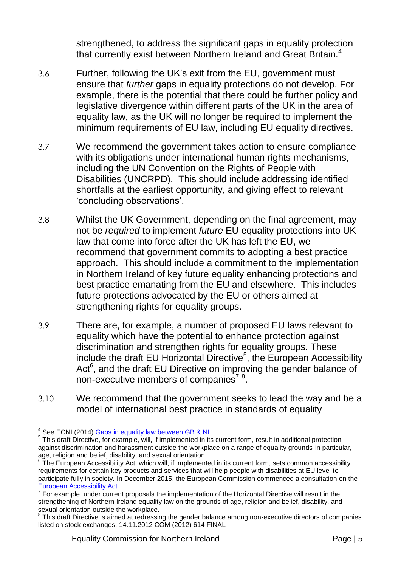strengthened, to address the significant gaps in equality protection that currently exist between Northern Ireland and Great Britain.<sup>4</sup>

- 3.6 Further, following the UK's exit from the EU, government must ensure that *further* gaps in equality protections do not develop. For example, there is the potential that there could be further policy and legislative divergence within different parts of the UK in the area of equality law, as the UK will no longer be required to implement the minimum requirements of EU law, including EU equality directives.
- 3.7 We recommend the government takes action to ensure compliance with its obligations under international human rights mechanisms, including the UN Convention on the Rights of People with Disabilities (UNCRPD). This should include addressing identified shortfalls at the earliest opportunity, and giving effect to relevant 'concluding observations'.
- 3.8 Whilst the UK Government, depending on the final agreement, may not be *required* to implement *future* EU equality protections into UK law that come into force after the UK has left the EU, we recommend that government commits to adopting a best practice approach. This should include a commitment to the implementation in Northern Ireland of key future equality enhancing protections and best practice emanating from the EU and elsewhere. This includes future protections advocated by the EU or others aimed at strengthening rights for equality groups.
- 3.9 There are, for example, a number of proposed EU laws relevant to equality which have the potential to enhance protection against discrimination and strengthen rights for equality groups. These include the draft EU Horizontal Directive<sup>5</sup>, the European Accessibility Act $6$ , and the draft EU Directive on improving the gender balance of non-executive members of companies<sup>78</sup>.
- 3.10 We recommend that the government seeks to lead the way and be a model of international best practice in standards of equality

 4 See ECNI (2014) [Gaps in equality law between GB & NI.](http://www.equalityni.org/Delivering-Equality/Addressing-inequality/Law-reform/Tabs/Gaps-in-equality-law)

<sup>&</sup>lt;sup>5</sup> This draft Directive, for example, will, if implemented in its current form, result in additional protection against discrimination and harassment outside the workplace on a range of equality grounds-in particular, age, religion and belief, disability, and sexual orientation.

<sup>&</sup>lt;sup>6</sup> The European Accessibility Act, which will, if implemented in its current form, sets common accessibility requirements for certain key products and services that will help people with disabilities at EU level to participate fully in society. In December 2015, the European Commission commenced a consultation on the [European Accessibility Act.](http://europa.eu/rapid/press-release_IP-15-6147_en.htm)

<sup>7</sup> For example, under current proposals the implementation of the Horizontal Directive will result in the strengthening of Northern Ireland equality law on the grounds of age, religion and belief, disability, and sexual orientation outside the workplace.

<sup>&</sup>lt;sup>8</sup> This draft Directive is aimed at redressing the gender balance among non-executive directors of companies listed on stock exchanges. 14.11.2012 COM (2012) 614 FINAL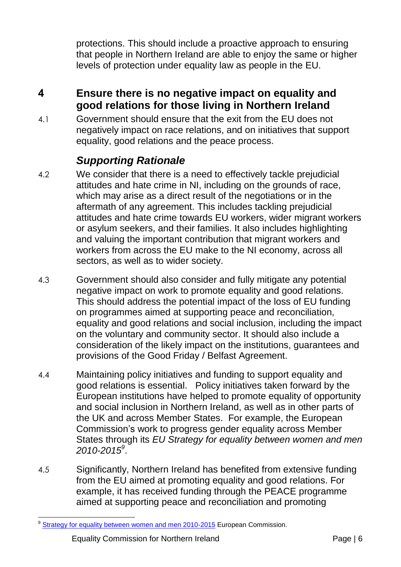protections. This should include a proactive approach to ensuring that people in Northern Ireland are able to enjoy the same or higher levels of protection under equality law as people in the EU.

# **4 Ensure there is no negative impact on equality and good relations for those living in Northern Ireland**

4.1 Government should ensure that the exit from the EU does not negatively impact on race relations, and on initiatives that support equality, good relations and the peace process.

- 4.2 We consider that there is a need to effectively tackle prejudicial attitudes and hate crime in NI, including on the grounds of race, which may arise as a direct result of the negotiations or in the aftermath of any agreement. This includes tackling prejudicial attitudes and hate crime towards EU workers, wider migrant workers or asylum seekers, and their families. It also includes highlighting and valuing the important contribution that migrant workers and workers from across the EU make to the NI economy, across all sectors, as well as to wider society.
- 4.3 Government should also consider and fully mitigate any potential negative impact on work to promote equality and good relations. This should address the potential impact of the loss of EU funding on programmes aimed at supporting peace and reconciliation, equality and good relations and social inclusion, including the impact on the voluntary and community sector. It should also include a consideration of the likely impact on the institutions, guarantees and provisions of the Good Friday / Belfast Agreement.
- 4.4 Maintaining policy initiatives and funding to support equality and good relations is essential. Policy initiatives taken forward by the European institutions have helped to promote equality of opportunity and social inclusion in Northern Ireland, as well as in other parts of the UK and across Member States. For example, the European Commission's work to progress gender equality across Member States through its *EU Strategy for equality between women and men 2010-2015<sup>9</sup>* .
- 4.5 Significantly, Northern Ireland has benefited from extensive funding from the EU aimed at promoting equality and good relations. For example, it has received funding through the PEACE programme aimed at supporting peace and reconciliation and promoting

 $\overline{a}$ <sup>9</sup> [Strategy for equality between women and men 2010-2015](http://eur-lex.europa.eu/legal-content/EN/TXT/DOC/?uri=CELEX:52010DC0491&from=en) European Commission.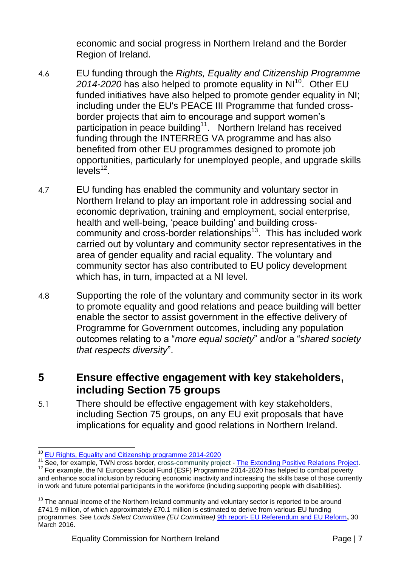economic and social progress in Northern Ireland and the Border Region of Ireland.

- 4.6 EU funding through the *Rights, Equality and Citizenship Programme*  2014-2020 has also helped to promote equality in NI<sup>10</sup>. Other EU funded initiatives have also helped to promote gender equality in NI; including under the EU's PEACE III Programme that funded crossborder projects that aim to encourage and support women's participation in peace building<sup>11</sup>. Northern Ireland has received funding through the INTERREG VA programme and has also benefited from other EU programmes designed to promote job opportunities, particularly for unemployed people, and upgrade skills  $levels<sup>12</sup>$ .
- 4.7 EU funding has enabled the community and voluntary sector in Northern Ireland to play an important role in addressing social and economic deprivation, training and employment, social enterprise, health and well-being, 'peace building' and building crosscommunity and cross-border relationships<sup>13</sup>. This has included work carried out by voluntary and community sector representatives in the area of gender equality and racial equality. The voluntary and community sector has also contributed to EU policy development which has, in turn, impacted at a NI level.
- 4.8 Supporting the role of the voluntary and community sector in its work to promote equality and good relations and peace building will better enable the sector to assist government in the effective delivery of Programme for Government outcomes, including any population outcomes relating to a "*more equal society*" and/or a "*shared society that respects diversity*".

### **5 Ensure effective engagement with key stakeholders, including Section 75 groups**

5.1 There should be effective engagement with key stakeholders, including Section 75 groups, on any EU exit proposals that have implications for equality and good relations in Northern Ireland.

 $\overline{a}$ <sup>10</sup> [EU Rights, Equality and Citizenship programme 2014-2020](http://ec.europa.eu/justice/grants1/programmes-2014-2020/rec/index_en.htm)

<sup>&</sup>lt;sup>11</sup> See, for example, TWN cross border, cross-community project - [The Extending Positive Relations Project](https://www.twnonline.com/positive-relations/project-news/297-mep-congratulates-northern-ireland-women-on-their-peacebuilding-achievements). <sup>12</sup> For example, the NI European Social Fund (ESF) Programme 2014-2020 has helped to combat poverty and enhance social inclusion by reducing economic inactivity and increasing the skills base of those currently in work and future potential participants in the workforce (including supporting people with disabilities).

 $13$  The annual income of the Northern Ireland community and voluntary sector is reported to be around £741.9 million, of which approximately £70.1 million is estimated to derive from various EU funding programmes. See *Lords Select Committee (EU Committee)* 9th report- [EU Referendum and EU Reform](http://www.publications.parliament.uk/pa/ld201516/ldselect/ldeucom/122/12202.htm)**,** 30 March 2016.